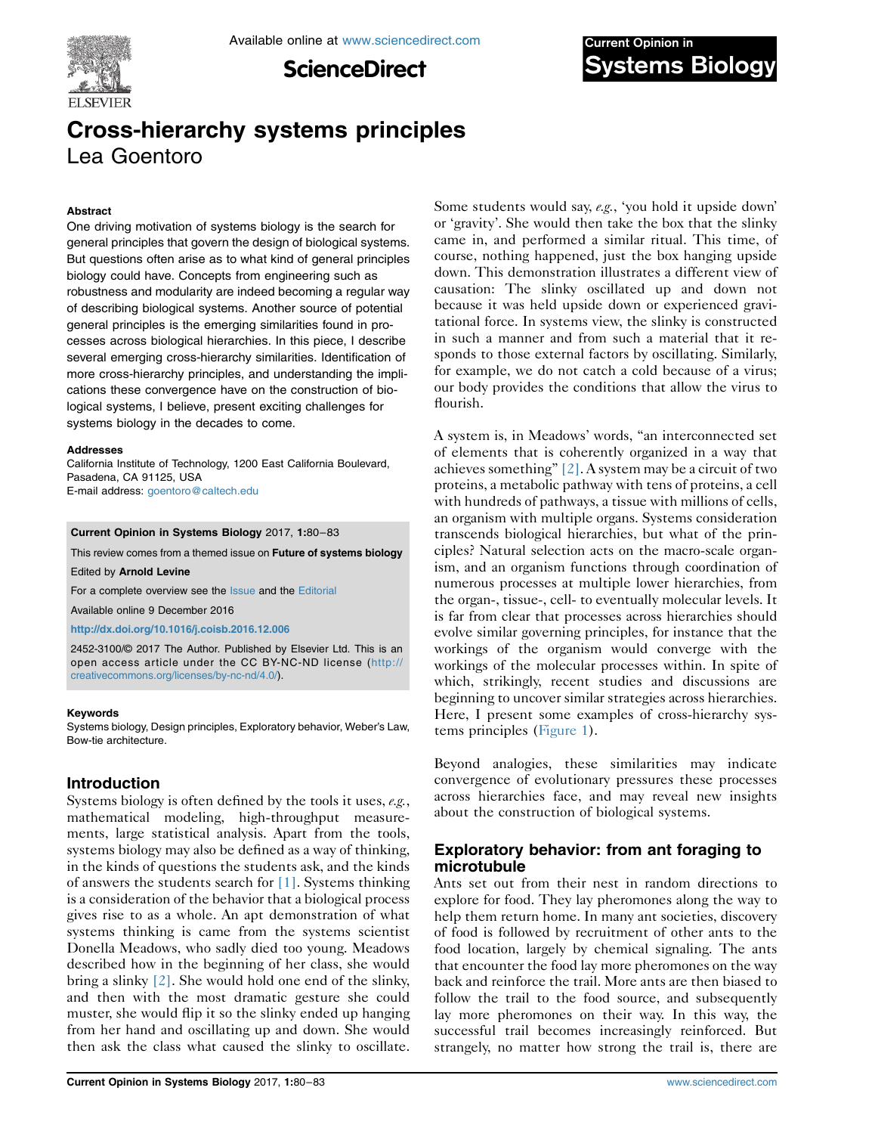

Available online at [www.sciencedirect.com](www.sciencedirect.com/science/journal/24523100)

**ScienceDirect** 



# Cross-hierarchy systems principles Lea Goentoro

## Abstract

One driving motivation of systems biology is the search for general principles that govern the design of biological systems. But questions often arise as to what kind of general principles biology could have. Concepts from engineering such as robustness and modularity are indeed becoming a regular way of describing biological systems. Another source of potential general principles is the emerging similarities found in processes across biological hierarchies. In this piece, I describe several emerging cross-hierarchy similarities. Identification of more cross-hierarchy principles, and understanding the implications these convergence have on the construction of biological systems, I believe, present exciting challenges for systems biology in the decades to come.

#### Addresses

California Institute of Technology, 1200 East California Boulevard, Pasadena, CA 91125, USA E-mail address: [goentoro@caltech.edu](mailto:goentoro@caltech.edu)

#### Current Opinion in Systems Biology 2017, 1:80–83

This review comes from a themed issue on Future of systems biology

Edited by Arnold Levine

For a complete overview see the Issue and the [Editorial](http://dx.doi.org/10.1016/j.coisb.2016.12.006)

Available online 9 December 2016

<http://dx.doi.org/10.1016/j.coisb.2016.12.006>

2452-3100/© 2017 The Author. Published by Elsevier Ltd. This is an open access article under the CC BY-NC-ND license ([http://](http://creativecommons.org/licenses/by-nc-nd/4.0/) [creativecommons.org/licenses/by-nc-nd/4.0/](http://creativecommons.org/licenses/by-nc-nd/4.0/)).

#### Keywords

Systems biology, Design principles, Exploratory behavior, Weber's Law, Bow-tie architecture.

## Introduction

Systems biology is often defined by the tools it uses, e.g., mathematical modeling, high-throughput measurements, large statistical analysis. Apart from the tools, systems biology may also be defined as a way of thinking, in the kinds of questions the students ask, and the kinds of answers the students search for [\[1\].](#page-3-0) Systems thinking is a consideration of the behavior that a biological process gives rise to as a whole. An apt demonstration of what systems thinking is came from the systems scientist Donella Meadows, who sadly died too young. Meadows described how in the beginning of her class, she would bring a slinky  $[2]$ . She would hold one end of the slinky, and then with the most dramatic gesture she could muster, she would flip it so the slinky ended up hanging from her hand and oscillating up and down. She would then ask the class what caused the slinky to oscillate.

Some students would say, e.g., 'you hold it upside down' or 'gravity'. She would then take the box that the slinky came in, and performed a similar ritual. This time, of course, nothing happened, just the box hanging upside down. This demonstration illustrates a different view of causation: The slinky oscillated up and down not because it was held upside down or experienced gravitational force. In systems view, the slinky is constructed in such a manner and from such a material that it responds to those external factors by oscillating. Similarly, for example, we do not catch a cold because of a virus; our body provides the conditions that allow the virus to flourish.

A system is, in Meadows' words, "an interconnected set of elements that is coherently organized in a way that achieves something" [\[2\]](#page-3-0). A system may be a circuit of two proteins, a metabolic pathway with tens of proteins, a cell with hundreds of pathways, a tissue with millions of cells, an organism with multiple organs. Systems consideration transcends biological hierarchies, but what of the principles? Natural selection acts on the macro-scale organism, and an organism functions through coordination of numerous processes at multiple lower hierarchies, from the organ-, tissue-, cell- to eventually molecular levels. It is far from clear that processes across hierarchies should evolve similar governing principles, for instance that the workings of the organism would converge with the workings of the molecular processes within. In spite of which, strikingly, recent studies and discussions are beginning to uncover similar strategies across hierarchies. Here, I present some examples of cross-hierarchy systems principles [\(Figure 1](#page-1-0)).

Beyond analogies, these similarities may indicate convergence of evolutionary pressures these processes across hierarchies face, and may reveal new insights about the construction of biological systems.

# Exploratory behavior: from ant foraging to microtubule

Ants set out from their nest in random directions to explore for food. They lay pheromones along the way to help them return home. In many ant societies, discovery of food is followed by recruitment of other ants to the food location, largely by chemical signaling. The ants that encounter the food lay more pheromones on the way back and reinforce the trail. More ants are then biased to follow the trail to the food source, and subsequently lay more pheromones on their way. In this way, the successful trail becomes increasingly reinforced. But strangely, no matter how strong the trail is, there are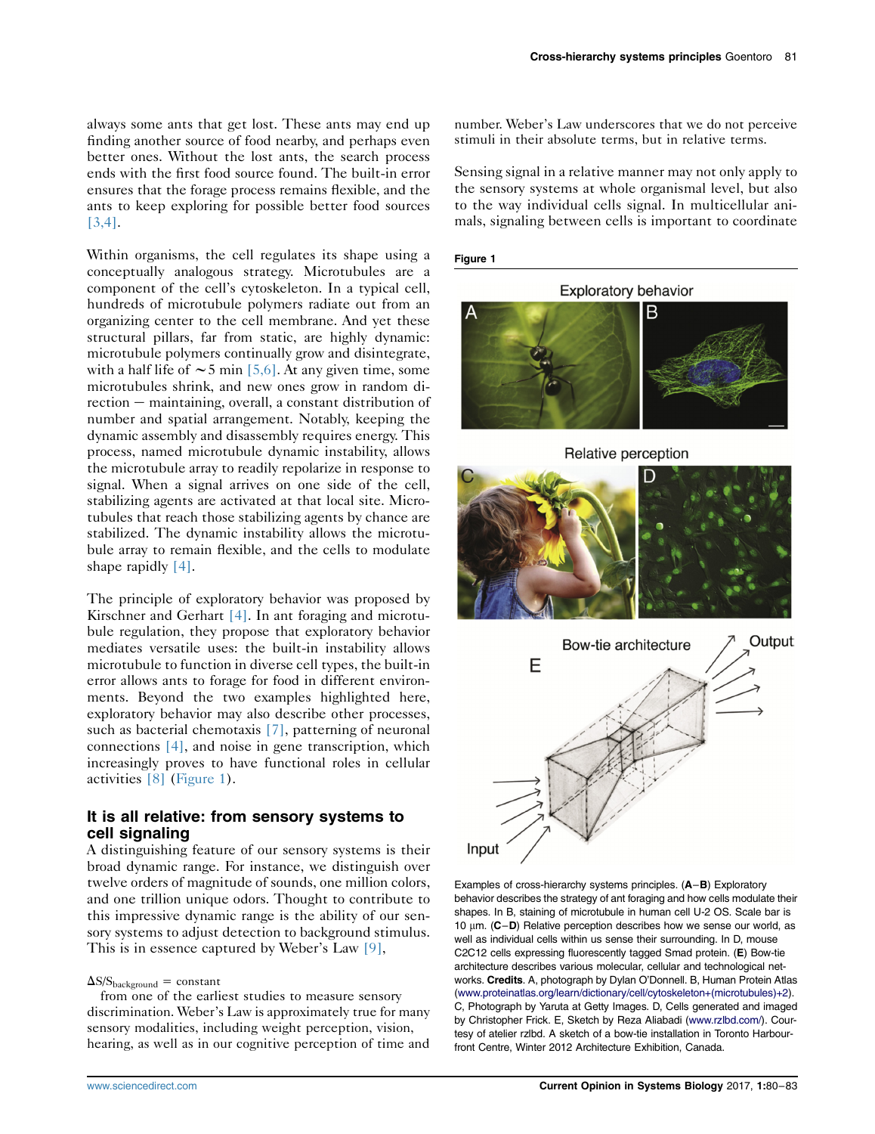<span id="page-1-0"></span>always some ants that get lost. These ants may end up finding another source of food nearby, and perhaps even better ones. Without the lost ants, the search process ends with the first food source found. The built-in error ensures that the forage process remains flexible, and the ants to keep exploring for possible better food sources [\[3,4\]](#page-3-0).

Within organisms, the cell regulates its shape using a conceptually analogous strategy. Microtubules are a component of the cell's cytoskeleton. In a typical cell, hundreds of microtubule polymers radiate out from an organizing center to the cell membrane. And yet these structural pillars, far from static, are highly dynamic: microtubule polymers continually grow and disintegrate, with a half life of  $\sim$  5 min [\[5,6\].](#page-3-0) At any given time, some microtubules shrink, and new ones grow in random di $rection$  – maintaining, overall, a constant distribution of number and spatial arrangement. Notably, keeping the dynamic assembly and disassembly requires energy. This process, named microtubule dynamic instability, allows the microtubule array to readily repolarize in response to signal. When a signal arrives on one side of the cell, stabilizing agents are activated at that local site. Microtubules that reach those stabilizing agents by chance are stabilized. The dynamic instability allows the microtubule array to remain flexible, and the cells to modulate shape rapidly [\[4\]](#page-3-0).

The principle of exploratory behavior was proposed by Kirschner and Gerhart [\[4\].](#page-3-0) In ant foraging and microtubule regulation, they propose that exploratory behavior mediates versatile uses: the built-in instability allows microtubule to function in diverse cell types, the built-in error allows ants to forage for food in different environments. Beyond the two examples highlighted here, exploratory behavior may also describe other processes, such as bacterial chemotaxis [\[7\]](#page-3-0), patterning of neuronal connections [\[4\]](#page-3-0), and noise in gene transcription, which increasingly proves to have functional roles in cellular activities [\[8\]](#page-3-0) (Figure 1).

## It is all relative: from sensory systems to cell signaling

A distinguishing feature of our sensory systems is their broad dynamic range. For instance, we distinguish over twelve orders of magnitude of sounds, one million colors, and one trillion unique odors. Thought to contribute to this impressive dynamic range is the ability of our sensory systems to adjust detection to background stimulus. This is in essence captured by Weber's Law [\[9\],](#page-3-0)

#### $\Delta S/S_{\text{background}} = \text{constant}$

from one of the earliest studies to measure sensory discrimination. Weber's Law is approximately true for many sensory modalities, including weight perception, vision, hearing, as well as in our cognitive perception of time and

number. Weber's Law underscores that we do not perceive stimuli in their absolute terms, but in relative terms.

Sensing signal in a relative manner may not only apply to the sensory systems at whole organismal level, but also to the way individual cells signal. In multicellular animals, signaling between cells is important to coordinate

#### Figure 1

**Exploratory behavior** 



Relative perception





Examples of cross-hierarchy systems principles. (A–B) Exploratory behavior describes the strategy of ant foraging and how cells modulate their shapes. In B, staining of microtubule in human cell U-2 OS. Scale bar is 10  $\mu$ m. (C-D) Relative perception describes how we sense our world, as well as individual cells within us sense their surrounding. In D, mouse C2C12 cells expressing fluorescently tagged Smad protein. (E) Bow-tie architecture describes various molecular, cellular and technological networks. Credits. A, photograph by Dylan O'Donnell. B, Human Protein Atlas ([www.proteinatlas.org/learn/dictionary/cell/cytoskeleton+\(microtubules\)+2\)](http://www.proteinatlas.org/learn/dictionary/cell/cytoskeleton+(microtubules)+2). C, Photograph by Yaruta at Getty Images. D, Cells generated and imaged by Christopher Frick. E, Sketch by Reza Aliabadi [\(www.rzlbd.com/](http://www.rzlbd.com/)). Courtesy of atelier rzlbd. A sketch of a bow-tie installation in Toronto Harbourfront Centre, Winter 2012 Architecture Exhibition, Canada.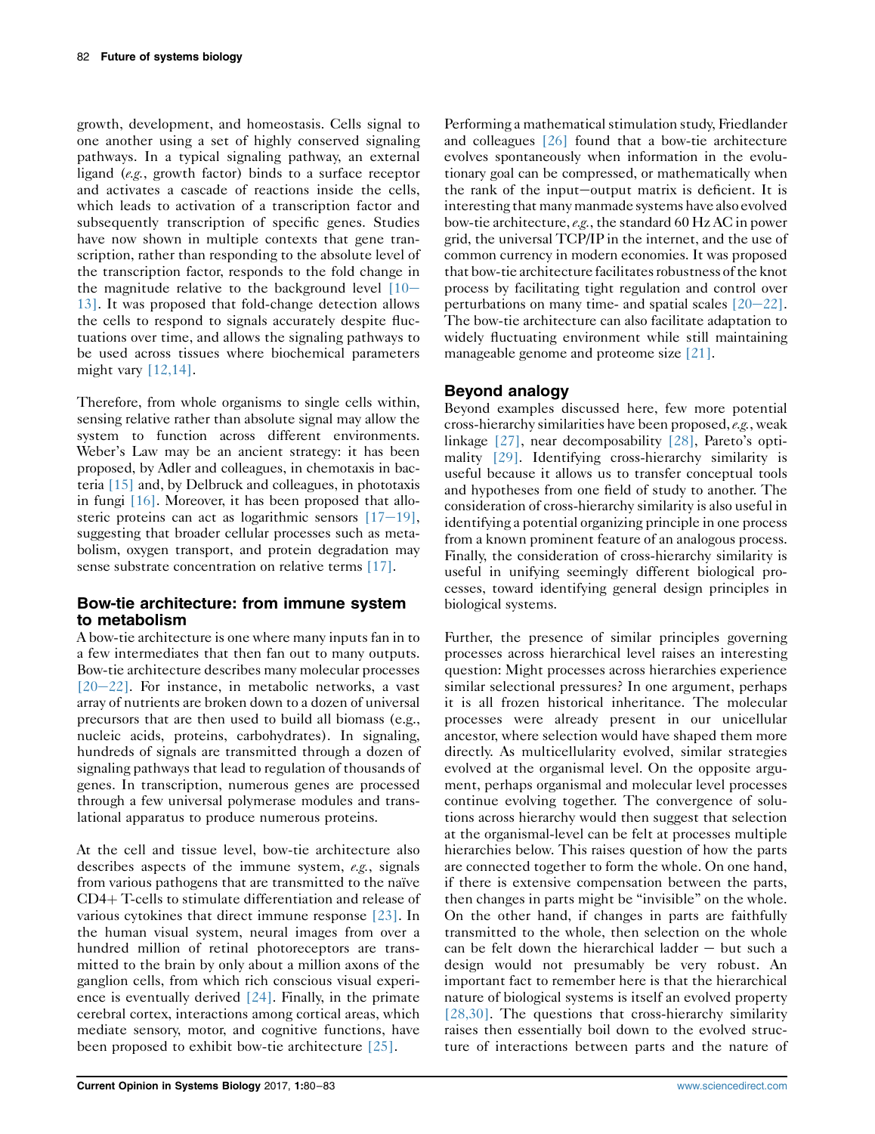growth, development, and homeostasis. Cells signal to one another using a set of highly conserved signaling pathways. In a typical signaling pathway, an external ligand (e.g., growth factor) binds to a surface receptor and activates a cascade of reactions inside the cells, which leads to activation of a transcription factor and subsequently transcription of specific genes. Studies have now shown in multiple contexts that gene transcription, rather than responding to the absolute level of the transcription factor, responds to the fold change in the magnitude relative to the background level  $[10 [10-$ [13\]](#page-3-0). It was proposed that fold-change detection allows the cells to respond to signals accurately despite fluctuations over time, and allows the signaling pathways to be used across tissues where biochemical parameters might vary [\[12,14\].](#page-3-0)

Therefore, from whole organisms to single cells within, sensing relative rather than absolute signal may allow the system to function across different environments. Weber's Law may be an ancient strategy: it has been proposed, by Adler and colleagues, in chemotaxis in bacteria [\[15\]](#page-3-0) and, by Delbruck and colleagues, in phototaxis in fungi [\[16\]](#page-3-0). Moreover, it has been proposed that allosteric proteins can act as logarithmic sensors  $[17-19]$  $[17-19]$ , suggesting that broader cellular processes such as metabolism, oxygen transport, and protein degradation may sense substrate concentration on relative terms [\[17\].](#page-3-0)

## Bow-tie architecture: from immune system to metabolism

A bow-tie architecture is one where many inputs fan in to a few intermediates that then fan out to many outputs. Bow-tie architecture describes many molecular processes  $[20-22]$  $[20-22]$  $[20-22]$ . For instance, in metabolic networks, a vast array of nutrients are broken down to a dozen of universal precursors that are then used to build all biomass (e.g., nucleic acids, proteins, carbohydrates). In signaling, hundreds of signals are transmitted through a dozen of signaling pathways that lead to regulation of thousands of genes. In transcription, numerous genes are processed through a few universal polymerase modules and translational apparatus to produce numerous proteins.

At the cell and tissue level, bow-tie architecture also describes aspects of the immune system, e.g., signals from various pathogens that are transmitted to the naïve CD4+ T-cells to stimulate differentiation and release of various cytokines that direct immune response [\[23\].](#page-3-0) In the human visual system, neural images from over a hundred million of retinal photoreceptors are transmitted to the brain by only about a million axons of the ganglion cells, from which rich conscious visual experience is eventually derived  $[24]$ . Finally, in the primate cerebral cortex, interactions among cortical areas, which mediate sensory, motor, and cognitive functions, have been proposed to exhibit bow-tie architecture [\[25\].](#page-3-0)

Performing a mathematical stimulation study, Friedlander and colleagues [\[26\]](#page-3-0) found that a bow-tie architecture evolves spontaneously when information in the evolutionary goal can be compressed, or mathematically when the rank of the input-output matrix is deficient. It is interesting that many manmade systems have also evolved bow-tie architecture, e.g., the standard 60 Hz AC in power grid, the universal TCP/IP in the internet, and the use of common currency in modern economies. It was proposed that bow-tie architecture facilitates robustness of the knot process by facilitating tight regulation and control over perturbations on many time- and spatial scales  $[20-22]$  $[20-22]$ . The bow-tie architecture can also facilitate adaptation to widely fluctuating environment while still maintaining manageable genome and proteome size [\[21\]](#page-3-0).

# Beyond analogy

Beyond examples discussed here, few more potential cross-hierarchy similarities have been proposed, e.g., weak linkage [\[27\],](#page-3-0) near decomposability [\[28\]](#page-3-0), Pareto's optimality [\[29\]](#page-3-0). Identifying cross-hierarchy similarity is useful because it allows us to transfer conceptual tools and hypotheses from one field of study to another. The consideration of cross-hierarchy similarity is also useful in identifying a potential organizing principle in one process from a known prominent feature of an analogous process. Finally, the consideration of cross-hierarchy similarity is useful in unifying seemingly different biological processes, toward identifying general design principles in biological systems.

Further, the presence of similar principles governing processes across hierarchical level raises an interesting question: Might processes across hierarchies experience similar selectional pressures? In one argument, perhaps it is all frozen historical inheritance. The molecular processes were already present in our unicellular ancestor, where selection would have shaped them more directly. As multicellularity evolved, similar strategies evolved at the organismal level. On the opposite argument, perhaps organismal and molecular level processes continue evolving together. The convergence of solutions across hierarchy would then suggest that selection at the organismal-level can be felt at processes multiple hierarchies below. This raises question of how the parts are connected together to form the whole. On one hand, if there is extensive compensation between the parts, then changes in parts might be "invisible" on the whole. On the other hand, if changes in parts are faithfully transmitted to the whole, then selection on the whole can be felt down the hierarchical ladder  $-$  but such a design would not presumably be very robust. An important fact to remember here is that the hierarchical nature of biological systems is itself an evolved property [\[28,30\].](#page-3-0) The questions that cross-hierarchy similarity raises then essentially boil down to the evolved structure of interactions between parts and the nature of